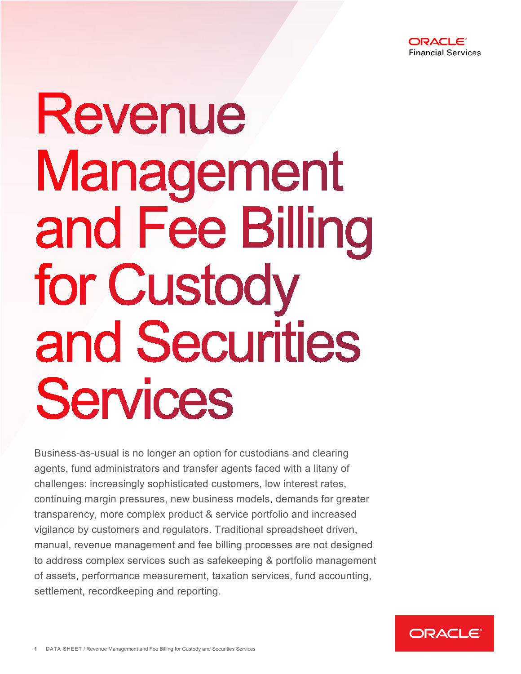

# Revenue Management and Fee Billing for Custody and Securities Services

Business-as-usual is no longer an option for custodians and clearing agents, fund administrators and transfer agents faced with a litany of challenges: increasingly sophisticated customers, low interest rates, continuing margin pressures, new business models, demands for greater transparency, more complex product & service portfolio and increased vigilance by customers and regulators. Traditional spreadsheet driven, manual, revenue management and fee billing processes are not designed to address complex services such as safekeeping & portfolio management of assets, performance measurement, taxation services, fund accounting, settlement, recordkeeping and reporting.

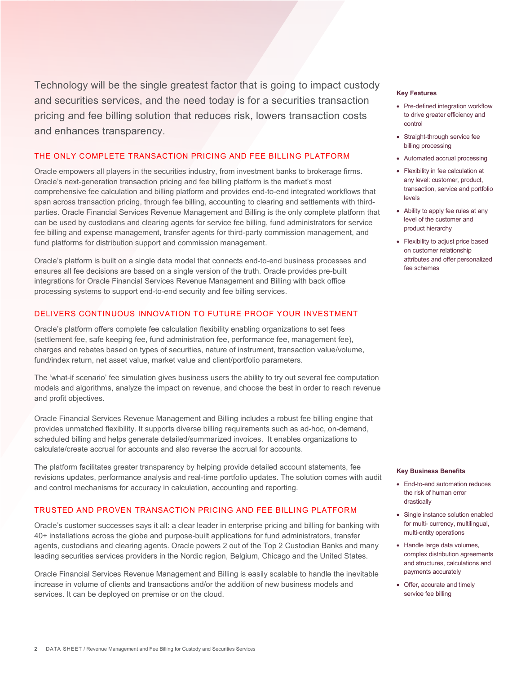Technology will be the single greatest factor that is going to impact custody and securities services, and the need today is for a securities transaction pricing and fee billing solution that reduces risk, lowers transaction costs and enhances transparency.

## THE ONLY COMPLETE TRANSACTION PRICING AND FEE BILLING PLATFORM

Oracle empowers all players in the securities industry, from investment banks to brokerage firms. Oracle's next-generation transaction pricing and fee billing platform is the market's most comprehensive fee calculation and billing platform and provides end-to-end integrated workflows that span across transaction pricing, through fee billing, accounting to clearing and settlements with thirdparties. Oracle Financial Services Revenue Management and Billing is the only complete platform that can be used by custodians and clearing agents for service fee billing, fund administrators for service fee billing and expense management, transfer agents for third-party commission management, and fund platforms for distribution support and commission management.

Oracle's platform is built on a single data model that connects end-to-end business processes and ensures all fee decisions are based on a single version of the truth. Oracle provides pre-built integrations for Oracle Financial Services Revenue Management and Billing with back office processing systems to support end-to-end security and fee billing services.

# DELIVERS CONTINUOUS INNOVATION TO FUTURE PROOF YOUR INVESTMENT

Oracle's platform offers complete fee calculation flexibility enabling organizations to set fees (settlement fee, safe keeping fee, fund administration fee, performance fee, management fee), charges and rebates based on types of securities, nature of instrument, transaction value/volume, fund/index return, net asset value, market value and client/portfolio parameters.

The 'what-if scenario' fee simulation gives business users the ability to try out several fee computation models and algorithms, analyze the impact on revenue, and choose the best in order to reach revenue and profit objectives.

Oracle Financial Services Revenue Management and Billing includes a robust fee billing engine that provides unmatched flexibility. It supports diverse billing requirements such as ad-hoc, on-demand, scheduled billing and helps generate detailed/summarized invoices. It enables organizations to calculate/create accrual for accounts and also reverse the accrual for accounts.

The platform facilitates greater transparency by helping provide detailed account statements, fee revisions updates, performance analysis and real-time portfolio updates. The solution comes with audit and control mechanisms for accuracy in calculation, accounting and reporting.

### TRUSTED AND PROVEN TRANSACTION PRICING AND FEE BILLING PLATFORM

Oracle's customer successes says it all: a clear leader in enterprise pricing and billing for banking with 40+ installations across the globe and purpose-built applications for fund administrators, transfer agents, custodians and clearing agents. Oracle powers 2 out of the Top 2 Custodian Banks and many leading securities services providers in the Nordic region, Belgium, Chicago and the United States.

Oracle Financial Services Revenue Management and Billing is easily scalable to handle the inevitable increase in volume of clients and transactions and/or the addition of new business models and services. It can be deployed on premise or on the cloud.

#### **Key Features**

- Pre-defined integration workflow to drive greater efficiency and control
- Straight-through service fee billing processing
- Automated accrual processing
- Flexibility in fee calculation at any level: customer, product, transaction, service and portfolio levels
- Ability to apply fee rules at any level of the customer and product hierarchy
- Flexibility to adjust price based on customer relationship attributes and offer personalized fee schemes

#### **Key Business Benefits**

- End-to-end automation reduces the risk of human error drastically
- Single instance solution enabled for multi- currency, multilingual, multi-entity operations
- Handle large data volumes, complex distribution agreements and structures, calculations and payments accurately
- Offer, accurate and timely service fee billing